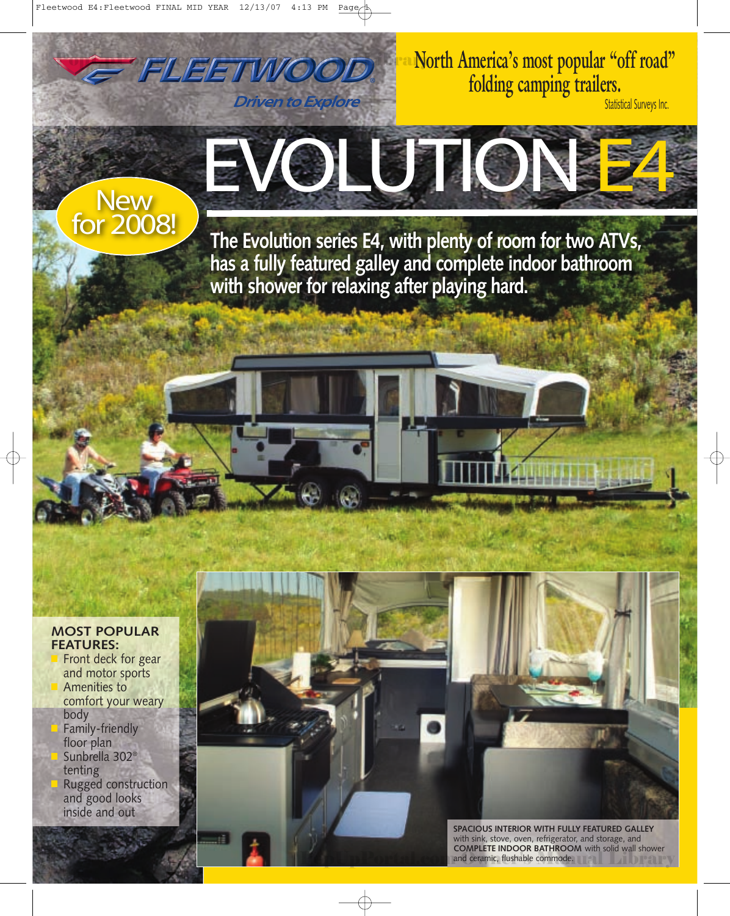FLEETWOOD

**Driven to Explore** 

**North America's most popular "off road" folding camping trailers.**

Statistical Surveys Inc.

## New EVOLUTION

for 2008! **The Evolution series E4, with plenty of room for two ATVs, has a fully featured galley and complete indoor bathroom with shower for relaxing after playing hard.**

## **MOST POPULAR FEATURES:**

**■** Front deck for gear and motor sports **■** Amenities to comfort your weary body **■** Family-friendly floor plan **■** Sunbrella 302® tenting **■** Rugged construction and good looks inside and out

> **SPACIOUS INTERIOR WITH FULLY FEATURED GALLEY** with sink, stove, oven, refrigerator, and storage, and **COMPLETE INDOOR BATHROOM** with solid wall shower and ceramic, flushable commode. The Contract V